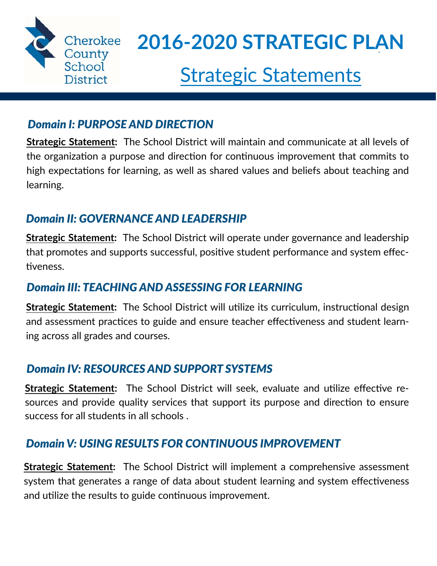

### *Domain I: PURPOSE AND DIRECTION*

**Strategic Statement:** The School District will maintain and communicate at all levels of the organization a purpose and direction for continuous improvement that commits to high expectations for learning, as well as shared values and beliefs about teaching and learning.

### *Domain II: GOVERNANCE AND LEADERSHIP*

**Strategic Statement:** The School District will operate under governance and leadership that promotes and supports successful, positive student performance and system effectiveness.

### *Domain III: TEACHING AND ASSESSING FOR LEARNING*

**Strategic Statement:** The School District will utilize its curriculum, instructional design and assessment practices to guide and ensure teacher effectiveness and student learning across all grades and courses.

### *Domain IV: RESOURCES AND SUPPORT SYSTEMS*

**Strategic Statement:** The School District will seek, evaluate and utilize effective resources and provide quality services that support its purpose and direction to ensure success for all students in all schools .

### *Domain V: USING RESULTS FOR CONTINUOUS IMPROVEMENT*

**Strategic Statement:** The School District will implement a comprehensive assessment system that generates a range of data about student learning and system effectiveness and utilize the results to guide continuous improvement.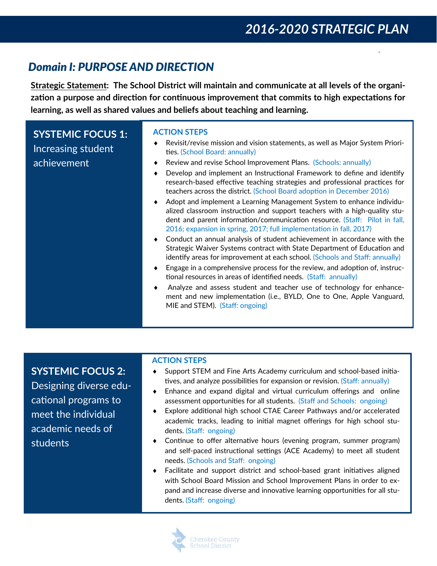### **Domain I: PURPOSE AND DIRECTION**

Strategic Statement: The School District will maintain and communicate at all levels of the organization a purpose and direction for continuous improvement that commits to high expectations for learning, as well as shared values and beliefs about teaching and learning.

| <b>SYSTEMIC FOCUS 1:</b><br>Increasing student<br>achievement | <b>ACTION STEPS</b><br>Revisit/revise mission and vision statements, as well as Major System Priori-<br>ties. (School Board: annually)<br>Review and revise School Improvement Plans. (Schools: annually)<br>٠<br>Develop and implement an Instructional Framework to define and identify<br>research-based effective teaching strategies and professional practices for<br>teachers across the district. (School Board adoption in December 2016)<br>Adopt and implement a Learning Management System to enhance individu-<br>alized classroom instruction and support teachers with a high-quality stu-<br>dent and parent information/communication resource. (Staff: Pilot in fall,<br>2016; expansion in spring, 2017; full implementation in fall, 2017)<br>Conduct an annual analysis of student achievement in accordance with the<br>Strategic Waiver Systems contract with State Department of Education and<br>identify areas for improvement at each school. (Schools and Staff: annually) |
|---------------------------------------------------------------|--------------------------------------------------------------------------------------------------------------------------------------------------------------------------------------------------------------------------------------------------------------------------------------------------------------------------------------------------------------------------------------------------------------------------------------------------------------------------------------------------------------------------------------------------------------------------------------------------------------------------------------------------------------------------------------------------------------------------------------------------------------------------------------------------------------------------------------------------------------------------------------------------------------------------------------------------------------------------------------------------------|
|                                                               | Engage in a comprehensive process for the review, and adoption of, instruc-<br>tional resources in areas of identified needs. (Staff: annually)<br>Analyze and assess student and teacher use of technology for enhance-<br>ment and new implementation (i.e., BYLD, One to One, Apple Vanguard,<br>MIE and STEM). (Staff: ongoing)                                                                                                                                                                                                                                                                                                                                                                                                                                                                                                                                                                                                                                                                    |

**SYSTEMIC FOCUS 2:** Designing diverse educational programs to meet the individual academic needs of **students** 

#### **ACTION STEPS**

- Support STEM and Fine Arts Academy curriculum and school-based initia- $\bullet$ tives, and analyze possibilities for expansion or revision. (Staff: annually)
- Enhance and expand digital and virtual curriculum offerings and online assessment opportunities for all students. (Staff and Schools: ongoing)
- Explore additional high school CTAE Career Pathways and/or accelerated  $\bullet$ academic tracks, leading to initial magnet offerings for high school students. (Staff: ongoing)
- Continue to offer alternative hours (evening program, summer program) and self-paced instructional settings (ACE Academy) to meet all student needs. (Schools and Staff: ongoing)
- Facilitate and support district and school-based grant initiatives aligned with School Board Mission and School Improvement Plans in order to expand and increase diverse and innovative learning opportunities for all students. (Staff: ongoing)

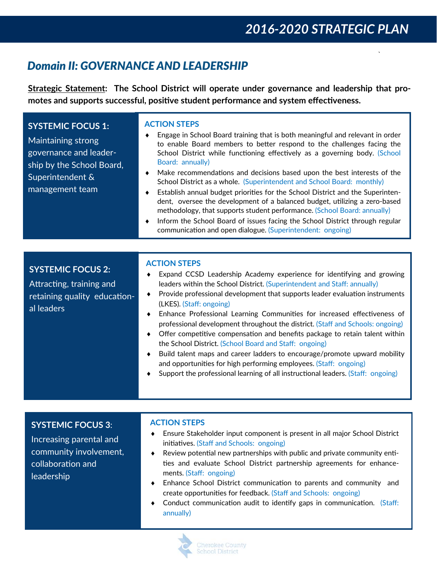# *2016‐2020 STRATEGIC PLAN*

`

### *Domain II: GOVERNANCE AND LEADERSHIP*

**Strategic Statement: The School District will operate under governance and leadership that pro‐ motes and supports successful, posiঞve student performance and system effecঞveness.**

| <b>SYSTEMIC FOCUS 1:</b><br>Maintaining strong<br>governance and leader-<br>ship by the School Board,<br>Superintendent &<br>management team | <b>ACTION STEPS</b><br>Engage in School Board training that is both meaningful and relevant in order<br>to enable Board members to better respond to the challenges facing the<br>School District while functioning effectively as a governing body. (School<br>Board: annually)<br>Make recommendations and decisions based upon the best interests of the<br>School District as a whole. (Superintendent and School Board: monthly)<br>Establish annual budget priorities for the School District and the Superinten-<br>dent, oversee the development of a balanced budget, utilizing a zero-based<br>methodology, that supports student performance. (School Board: annually)<br>Inform the School Board of issues facing the School District through regular<br>communication and open dialogue. (Superintendent: ongoing) |
|----------------------------------------------------------------------------------------------------------------------------------------------|---------------------------------------------------------------------------------------------------------------------------------------------------------------------------------------------------------------------------------------------------------------------------------------------------------------------------------------------------------------------------------------------------------------------------------------------------------------------------------------------------------------------------------------------------------------------------------------------------------------------------------------------------------------------------------------------------------------------------------------------------------------------------------------------------------------------------------|
|                                                                                                                                              | ACTION STEDS                                                                                                                                                                                                                                                                                                                                                                                                                                                                                                                                                                                                                                                                                                                                                                                                                    |

#### **SYSTEMIC FOCUS 2:**

Attracting, training and retaining quality educational leaders

#### **ACTION STEPS**

| Expand CCSD Leadership Academy experience for identifying and growing    |  |  |  |  |
|--------------------------------------------------------------------------|--|--|--|--|
| leaders within the School District. (Superintendent and Staff: annually) |  |  |  |  |

- $\bullet$  Provide professional development that supports leader evaluation instruments (LKES). (Staff: ongoing)
- $\bullet$  Enhance Professional Learning Communities for increased effectiveness of professional development throughout the district. (Staff and Schools: ongoing)
- $\bullet$  Offer competitive compensation and benefits package to retain talent within the School District. (School Board and Staff: ongoing)
- Build talent maps and career ladders to encourage/promote upward mobility and opportunities for high performing employees. (Staff: ongoing)
- Support the professional learning of all instructional leaders. (Staff: ongoing)

#### **SYSTEMIC FOCUS 3**:

Increasing parental and community involvement, collaboration and leadership

#### **ACTION STEPS**

- Ensure Stakeholder input component is present in all major School District initiatives. (Staff and Schools: ongoing)
- Review potential new partnerships with public and private community entities and evaluate School District partnership agreements for enhancements. (Staff: ongoing)
- Enhance School District communication to parents and community and create opportuniঞes for feedback. (Staff and Schools: ongoing)
- Conduct communication audit to identify gaps in communication. (Staff: annually)

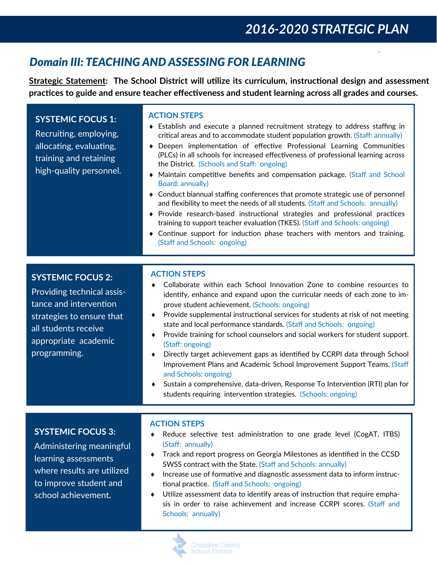`

### *Domain III: TEACHING AND ASSESSING FOR LEARNING*

**Strategic Statement: The School District will uঞlize its curriculum, instrucঞonal design and assessment pracঞces to guide and ensure teacher effecঞveness and student learning across all grades and courses.** 

### **SYSTEMIC FOCUS 1:**

Recruiting, employing, allocating, evaluating, training and retaining high-quality personnel.

#### **ACTION STEPS**

- Establish and execute a planned recruitment strategy to address staffing in critical areas and to accommodate student population growth. (Staff: annually)
- $\bullet$  Deepen implementation of effective Professional Learning Communities (PLCs) in all schools for increased effectiveness of professional learning across the District. (Schools and Staff: ongoing)
- $\bullet$  Maintain competitive benefits and compensation package. (Staff and School Board: annually)
- Conduct biannual staffing conferences that promote strategic use of personnel and flexibility to meet the needs of all students. (Staff and Schools: annually)
- $\bullet$  Provide research-based instructional strategies and professional practices training to support teacher evaluation (TKES). (Staff and Schools: ongoing)
- $\bullet$  Continue support for induction phase teachers with mentors and training. (Staff and Schools: ongoing)

### **SYSTEMIC FOCUS 2:**

FORMER OBJECTIVE 10

Providing technical assistance and intervention strategies to ensure that all students receive appropriate academic programming.

#### **ACTION STEPS**

- Collaborate within each School Innovation Zone to combine resources to identify, enhance and expand upon the curricular needs of each zone to improve student achievement. (Schools: ongoing)
- Provide supplemental instructional services for students at risk of not meeting state and local performance standards. (Staff and Schools: ongoing)
- Provide training for school counselors and social workers for student support. (Staff: ongoing)
- Directly target achievement gaps as identified by CCRPI data through School Improvement Plans and Academic School Improvement Support Teams. (Staff and Schools: ongoing)
- Sustain a comprehensive, data-driven, Response To Intervention (RTI) plan for students requiring intervention strategies. (Schools: ongoing)

### **SYSTEMIC FOCUS 3:**

Administering meaningful learning assessments where results are utilized to improve student and school achievement**.** 

#### **ACTION STEPS**

- $\bullet$  Reduce selective test administration to one grade level (CogAT, ITBS) (Staff: annually)
- $\bullet$  Track and report progress on Georgia Milestones as identified in the CCSD SWSS contract with the State. (Staff and Schools: annually)
- Increase use of formative and diagnostic assessment data to inform instructional practice. (Staff and Schools: ongoing)
- $\blacklozenge$  Utilize assessment data to identify areas of instruction that require emphasis in order to raise achievement and increase CCRPI scores. (Staff and Schools: annually)

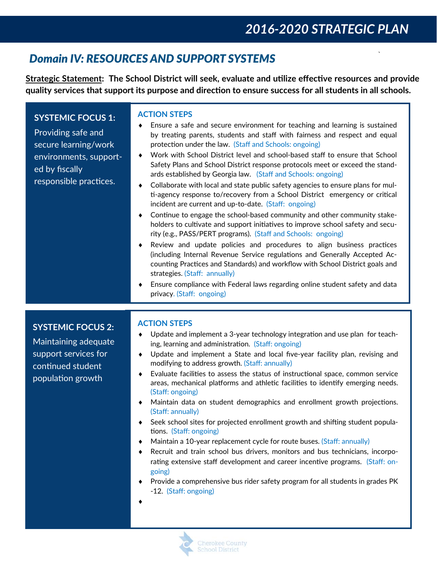`

# *Domain IV: RESOURCES AND SUPPORT SYSTEMS*

**Strategic Statement: The School District will seek, evaluate and uঞlize effecঞve resources and provide quality services that support its purpose and direcঞon to ensure success for all students in all schools.** 

| <b>SYSTEMIC FOCUS 1:</b><br>Providing safe and<br>secure learning/work<br>environments, support-<br>ed by fiscally<br>responsible practices. | <b>ACTION STEPS</b><br>Ensure a safe and secure environment for teaching and learning is sustained<br>٠<br>by treating parents, students and staff with fairness and respect and equal<br>protection under the law. (Staff and Schools: ongoing)<br>Work with School District level and school-based staff to ensure that School<br>٠<br>Safety Plans and School District response protocols meet or exceed the stand-<br>ards established by Georgia law. (Staff and Schools: ongoing)<br>Collaborate with local and state public safety agencies to ensure plans for mul-<br>٠<br>ti-agency response to/recovery from a School District emergency or critical<br>incident are current and up-to-date. (Staff: ongoing)<br>Continue to engage the school-based community and other community stake-<br>٠<br>holders to cultivate and support initiatives to improve school safety and secu-<br>rity (e.g., PASS/PERT programs). (Staff and Schools: ongoing)<br>Review and update policies and procedures to align business practices<br>٠<br>(including Internal Revenue Service regulations and Generally Accepted Ac-<br>counting Practices and Standards) and workflow with School District goals and<br>strategies. (Staff: annually)<br>Ensure compliance with Federal laws regarding online student safety and data<br>٠<br>privacy. (Staff: ongoing) |
|----------------------------------------------------------------------------------------------------------------------------------------------|---------------------------------------------------------------------------------------------------------------------------------------------------------------------------------------------------------------------------------------------------------------------------------------------------------------------------------------------------------------------------------------------------------------------------------------------------------------------------------------------------------------------------------------------------------------------------------------------------------------------------------------------------------------------------------------------------------------------------------------------------------------------------------------------------------------------------------------------------------------------------------------------------------------------------------------------------------------------------------------------------------------------------------------------------------------------------------------------------------------------------------------------------------------------------------------------------------------------------------------------------------------------------------------------------------------------------------------------------------------|
| <b>SYSTEMIC FOCUS 2:</b><br>Maintaining adequate<br>support services for<br>continued student<br>population growth                           | <b>ACTION STEPS</b><br>Update and implement a 3-year technology integration and use plan for teach-<br>٠<br>ing, learning and administration. (Staff: ongoing)<br>Update and implement a State and local five-year facility plan, revising and<br>٠<br>modifying to address growth. (Staff: annually)<br>Evaluate facilities to assess the status of instructional space, common service<br>$\bullet$<br>areas, mechanical platforms and athletic facilities to identify emerging needs.<br>(Staff: ongoing)<br>Maintain data on student demographics and enrollment growth projections.<br>$\bullet$<br>(Staff: annually)                                                                                                                                                                                                                                                                                                                                                                                                                                                                                                                                                                                                                                                                                                                                    |

- Seek school sites for projected enrollment growth and shifting student populations. (Staff: ongoing)
- Maintain a 10-year replacement cycle for route buses. (Staff: annually)
- Recruit and train school bus drivers, monitors and bus technicians, incorporating extensive staff development and career incentive programs. (Staff: ongoing)
- Provide a comprehensive bus rider safety program for all students in grades PK -12. (Staff: ongoing)
- $\blacklozenge$

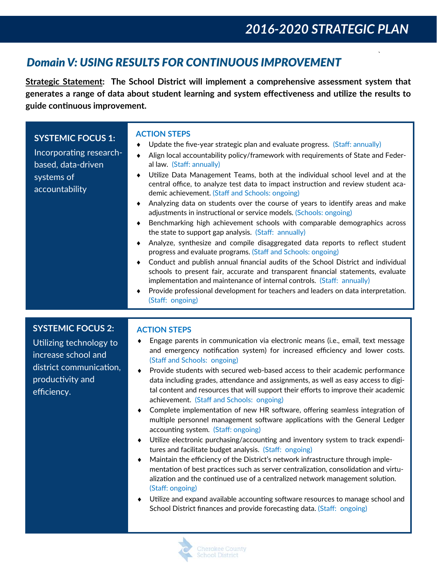# 2016-2020 STRATEGIC PLAN

### **Domain V: USING RESULTS FOR CONTINUOUS IMPROVEMENT**

Strategic Statement: The School District will implement a comprehensive assessment system that generates a range of data about student learning and system effectiveness and utilize the results to guide continuous improvement.

| <b>SYSTEMIC FOCUS 1:</b><br>Incorporating research-<br>based, data-driven<br>systems of<br>accountability                                | <b>ACTION STEPS</b><br>Update the five-year strategic plan and evaluate progress. (Staff: annually)<br>Align local accountability policy/framework with requirements of State and Feder-<br>$\bullet$<br>al law. (Staff: annually)<br>Utilize Data Management Teams, both at the individual school level and at the<br>central office, to analyze test data to impact instruction and review student aca-<br>demic achievement. (Staff and Schools: ongoing)<br>Analyzing data on students over the course of years to identify areas and make<br>adjustments in instructional or service models. (Schools: ongoing)<br>Benchmarking high achievement schools with comparable demographics across<br>the state to support gap analysis. (Staff: annually)<br>Analyze, synthesize and compile disaggregated data reports to reflect student<br>progress and evaluate programs. (Staff and Schools: ongoing)<br>Conduct and publish annual financial audits of the School District and individual<br>schools to present fair, accurate and transparent financial statements, evaluate<br>implementation and maintenance of internal controls. (Staff: annually)<br>Provide professional development for teachers and leaders on data interpretation.<br>(Staff: ongoing)                                                           |
|------------------------------------------------------------------------------------------------------------------------------------------|----------------------------------------------------------------------------------------------------------------------------------------------------------------------------------------------------------------------------------------------------------------------------------------------------------------------------------------------------------------------------------------------------------------------------------------------------------------------------------------------------------------------------------------------------------------------------------------------------------------------------------------------------------------------------------------------------------------------------------------------------------------------------------------------------------------------------------------------------------------------------------------------------------------------------------------------------------------------------------------------------------------------------------------------------------------------------------------------------------------------------------------------------------------------------------------------------------------------------------------------------------------------------------------------------------------------------------|
| <b>SYSTEMIC FOCUS 2:</b><br>Utilizing technology to<br>increase school and<br>district communication,<br>productivity and<br>efficiency. | <b>ACTION STEPS</b><br>Engage parents in communication via electronic means (i.e., email, text message<br>and emergency notification system) for increased efficiency and lower costs.<br>(Staff and Schools: ongoing)<br>Provide students with secured web-based access to their academic performance<br>data including grades, attendance and assignments, as well as easy access to digi-<br>tal content and resources that will support their efforts to improve their academic<br>achievement. (Staff and Schools: ongoing)<br>Complete implementation of new HR software, offering seamless integration of<br>multiple personnel management software applications with the General Ledger<br>accounting system. (Staff: ongoing)<br>Utilize electronic purchasing/accounting and inventory system to track expendi-<br>tures and facilitate budget analysis. (Staff: ongoing)<br>Maintain the efficiency of the District's network infrastructure through imple-<br>mentation of best practices such as server centralization, consolidation and virtu-<br>alization and the continued use of a centralized network management solution.<br>(Staff: ongoing)<br>Utilize and expand available accounting software resources to manage school and<br>School District finances and provide forecasting data. (Staff: ongoing) |

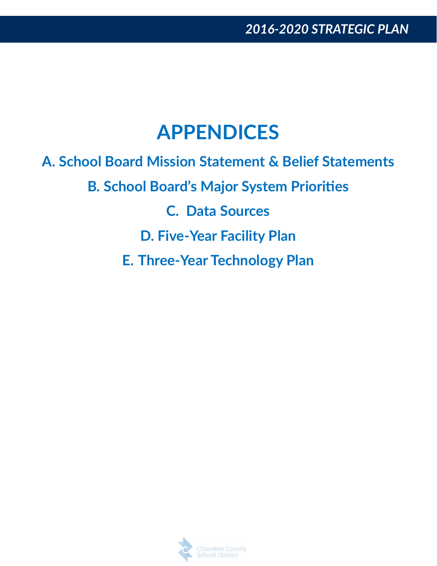# **APPENDICES**

**A. School Board Mission Statement & Belief Statements B. School Board's Major System Prioriঞes C. Data Sources D. Five‐Year Facility Plan E. Three‐Year Technology Plan** 

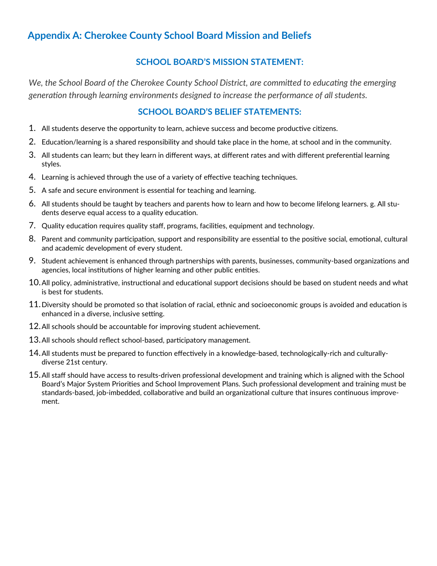### **Appendix A: Cherokee County School Board Mission and Beliefs**

#### **SCHOOL BOARD'S MISSION STATEMENT:**

We. the School Board of the Cherokee County School District, are committed to educating the emerging generation through learning environments designed to increase the performance of all students.

### **SCHOOL BOARD'S BELIEF STATEMENTS:**

- 1. All students deserve the opportunity to learn, achieve success and become productive citizens.
- 2. Education/learning is a shared responsibility and should take place in the home, at school and in the community.
- 3. All students can learn; but they learn in different ways, at different rates and with different preferential learning styles.
- 4. Learning is achieved through the use of a variety of effective teaching techniques.
- 5. A safe and secure environment is essential for teaching and learning.
- 6. All students should be taught by teachers and parents how to learn and how to become lifelong learners. g. All students deserve equal access to a quality education.
- 7. Quality education requires quality staff, programs, facilities, equipment and technology.
- 8. Parent and community participation, support and responsibility are essential to the positive social, emotional, cultural and academic development of every student.
- 9. Student achievement is enhanced through partnerships with parents, businesses, community-based organizations and agencies, local institutions of higher learning and other public entities.
- 10. All policy, administrative, instructional and educational support decisions should be based on student needs and what is best for students.
- 11. Diversity should be promoted so that isolation of racial, ethnic and socioeconomic groups is avoided and education is enhanced in a diverse, inclusive setting.
- 12. All schools should be accountable for improving student achievement.
- 13. All schools should reflect school-based, participatory management.
- 14. All students must be prepared to function effectively in a knowledge-based, technologically-rich and culturallydiverse 21st century.
- 15. All staff should have access to results-driven professional development and training which is aligned with the School Board's Major System Priorities and School Improvement Plans. Such professional development and training must be standards-based, job-imbedded, collaborative and build an organizational culture that insures continuous improvement.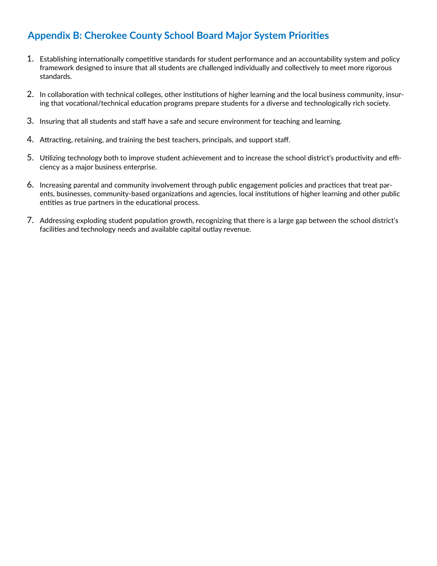### **Appendix B: Cherokee County School Board Major System Priorities**

- 1. Establishing internationally competitive standards for student performance and an accountability system and policy framework designed to insure that all students are challenged individually and collectively to meet more rigorous standards.
- 2. In collaboration with technical colleges, other institutions of higher learning and the local business community, insuring that vocational/technical education programs prepare students for a diverse and technologically rich society.
- 3. Insuring that all students and staff have a safe and secure environment for teaching and learning.
- 4. Attracting, retaining, and training the best teachers, principals, and support staff.
- 5. Utilizing technology both to improve student achievement and to increase the school district's productivity and efficiency as a major business enterprise.
- 6. Increasing parental and community involvement through public engagement policies and practices that treat parents, businesses, community-based organizations and agencies, local institutions of higher learning and other public entities as true partners in the educational process.
- 7. Addressing exploding student population growth, recognizing that there is a large gap between the school district's facilities and technology needs and available capital outlay revenue.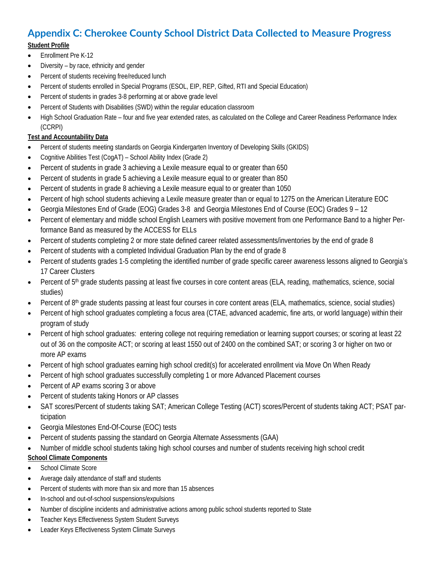# **Appendix C: Cherokee County School District Data Collected to Measure Progress**

#### **Student Profile**

- Enrollment Pre K-12
- Diversity by race, ethnicity and gender
- Percent of students receiving free/reduced lunch
- Percent of students enrolled in Special Programs (ESOL, EIP, REP, Gifted, RTI and Special Education)
- Percent of students in grades 3-8 performing at or above grade level
- Percent of Students with Disabilities (SWD) within the regular education classroom
- High School Graduation Rate four and five year extended rates, as calculated on the College and Career Readiness Performance Index (CCRPI)

### **Test and Accountability Data**

- Percent of students meeting standards on Georgia Kindergarten Inventory of Developing Skills (GKIDS)
- Cognitive Abilities Test (CogAT) School Ability Index (Grade 2)
- Percent of students in grade 3 achieving a Lexile measure equal to or greater than 650
- Percent of students in grade 5 achieving a Lexile measure equal to or greater than 850
- Percent of students in grade 8 achieving a Lexile measure equal to or greater than 1050
- Percent of high school students achieving a Lexile measure greater than or equal to 1275 on the American Literature EOC
- Georgia Milestones End of Grade (EOG) Grades 3-8 and Georgia Milestones End of Course (EOC) Grades 9 12
- Percent of elementary and middle school English Learners with positive movement from one Performance Band to a higher Performance Band as measured by the ACCESS for ELLs
- Percent of students completing 2 or more state defined career related assessments/inventories by the end of grade 8
- Percent of students with a completed Individual Graduation Plan by the end of grade 8
- Percent of students grades 1-5 completing the identified number of grade specific career awareness lessons aligned to Georgia's 17 Career Clusters
- Percent of 5<sup>th</sup> grade students passing at least five courses in core content areas (ELA, reading, mathematics, science, social studies)
- Percent of 8th grade students passing at least four courses in core content areas (ELA, mathematics, science, social studies)
- Percent of high school graduates completing a focus area (CTAE, advanced academic, fine arts, or world language) within their program of study
- Percent of high school graduates: entering college not requiring remediation or learning support courses; or scoring at least 22 out of 36 on the composite ACT; or scoring at least 1550 out of 2400 on the combined SAT; or scoring 3 or higher on two or more AP exams
- Percent of high school graduates earning high school credit(s) for accelerated enrollment via Move On When Ready
- Percent of high school graduates successfully completing 1 or more Advanced Placement courses
- Percent of AP exams scoring 3 or above
- Percent of students taking Honors or AP classes
- SAT scores/Percent of students taking SAT; American College Testing (ACT) scores/Percent of students taking ACT; PSAT participation
- Georgia Milestones End-Of-Course (EOC) tests
- Percent of students passing the standard on Georgia Alternate Assessments (GAA)
- Number of middle school students taking high school courses and number of students receiving high school credit

### **School Climate Components**

- School Climate Score
- Average daily attendance of staff and students
- Percent of students with more than six and more than 15 absences
- In-school and out-of-school suspensions/expulsions
- Number of discipline incidents and administrative actions among public school students reported to State
- Teacher Keys Effectiveness System Student Surveys
- Leader Keys Effectiveness System Climate Surveys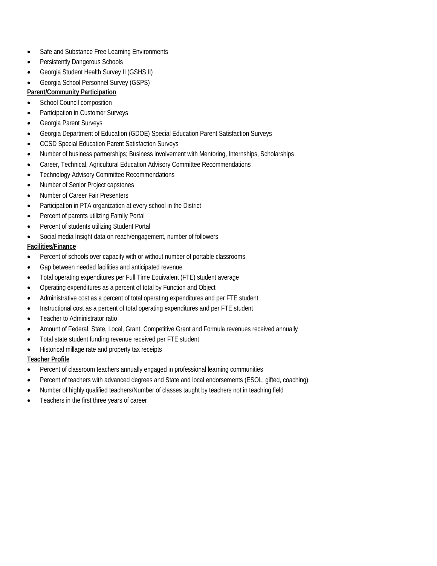- Safe and Substance Free Learning Environments
- Persistently Dangerous Schools
- Georgia Student Health Survey II (GSHS II)
- Georgia School Personnel Survey (GSPS)
- **Parent/Community Participation**
- **•** School Council composition
- Participation in Customer Surveys
- Georgia Parent Surveys
- Georgia Department of Education (GDOE) Special Education Parent Satisfaction Surveys
- CCSD Special Education Parent Satisfaction Surveys
- Number of business partnerships; Business involvement with Mentoring, Internships, Scholarships
- Career, Technical, Agricultural Education Advisory Committee Recommendations
- Technology Advisory Committee Recommendations
- Number of Senior Project capstones
- Number of Career Fair Presenters
- Participation in PTA organization at every school in the District
- Percent of parents utilizing Family Portal
- Percent of students utilizing Student Portal
- Social media Insight data on reach/engagement, number of followers

#### **Facilities/Finance**

- Percent of schools over capacity with or without number of portable classrooms
- Gap between needed facilities and anticipated revenue
- Total operating expenditures per Full Time Equivalent (FTE) student average
- Operating expenditures as a percent of total by Function and Object
- Administrative cost as a percent of total operating expenditures and per FTE student
- Instructional cost as a percent of total operating expenditures and per FTE student
- Teacher to Administrator ratio
- Amount of Federal, State, Local, Grant, Competitive Grant and Formula revenues received annually
- Total state student funding revenue received per FTE student
- Historical millage rate and property tax receipts

#### **Teacher Profile**

- Percent of classroom teachers annually engaged in professional learning communities
- Percent of teachers with advanced degrees and State and local endorsements (ESOL, gifted, coaching)
- Number of highly qualified teachers/Number of classes taught by teachers not in teaching field
- Teachers in the first three years of career